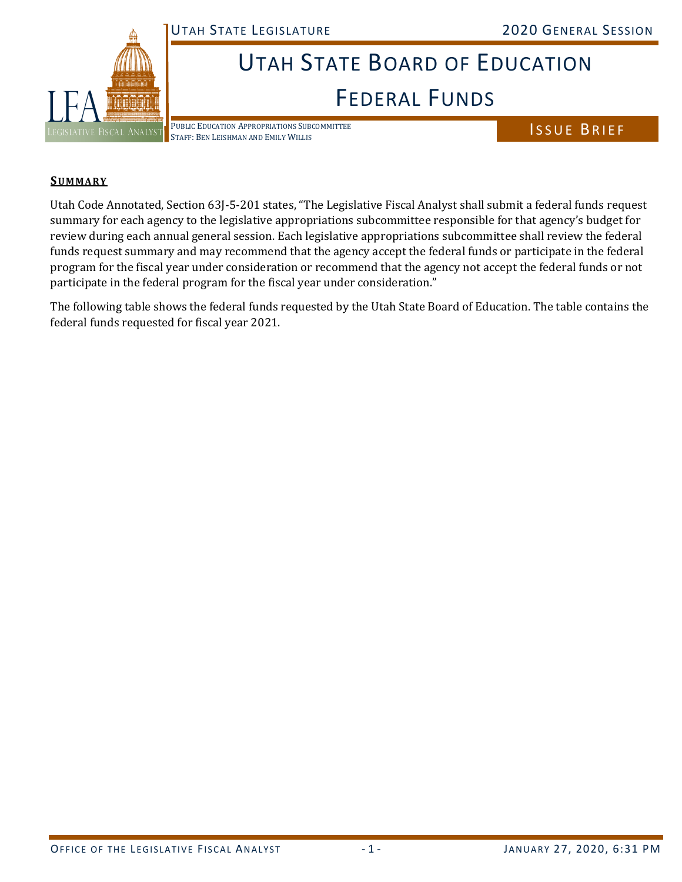UTAH STATE LEGISLATURE 2020 GENERAL SESSION



## UTAH STATE BOARD OF EDUCATION FEDERAL FUNDS

PUBLIC EDUCATION APPROPRIATIONS SUBCOMMITTEE STAFF: BEN LEISHMAN AND EMILY WILLIS

ISSUE BRIEF

## **SU M MA R Y**

**FEDERAL PUNDS**<br>
COMMARY<br>
COMMARY CONTRIGUES CONTRIGUES TO SUBSERVE THE LOGISLATION CONTRIGUES IN A LYSTEM CONTRIGUES TO A REPORT OF THE ANNOUNCED CONTRIBUTE THE CHAPTER OF THE CONTRIBUTE OF THE CONTRIBUTE OF THE CONTRIBUT Utah Code Annotated, Section 63J‐5‐201 states, "The Legislative Fiscal Analyst shall submit a federal funds request summary for each agency to the legislative appropriations subcommittee responsible for that agency's budget for review during each annual general session. Each legislative appropriations subcommittee shall review the federal funds request summary and may recommend that the agency accept the federal funds or participate in the federal program for the fiscal year under consideration or recommend that the agency not accept the federal funds or not participate in the federal program for the fiscal year under consideration."

The following table shows the federal funds requested by the Utah State Board of Education. The table contains the federal funds requested for fiscal year 2021.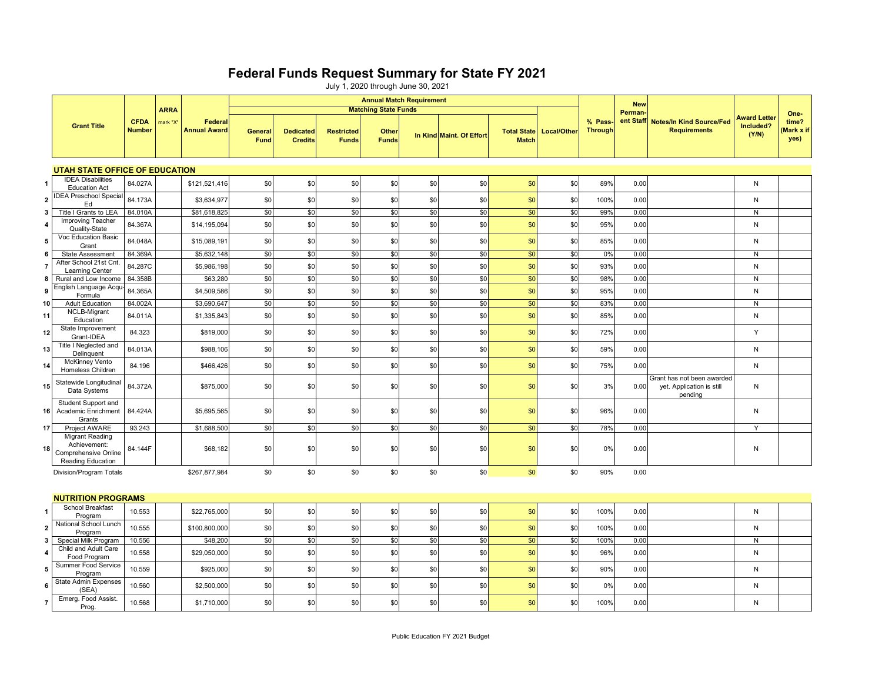## **Federal Funds Request Summary for State FY 2021**

July 1, 2020 through June 30, 2021

|                                       | <b>Grant Title</b>                                                                  | <b>CFDA</b><br><b>Number</b> | <b>ARRA</b><br>mark "X" | Federal<br><b>Annual Award</b> | <b>Annual Match Requirement</b><br><b>Matching State Funds</b> |                                    |                                   |                       |     |                          |                                    |             |                           | <b>New</b> |                                                                    |                                           |                                     |
|---------------------------------------|-------------------------------------------------------------------------------------|------------------------------|-------------------------|--------------------------------|----------------------------------------------------------------|------------------------------------|-----------------------------------|-----------------------|-----|--------------------------|------------------------------------|-------------|---------------------------|------------|--------------------------------------------------------------------|-------------------------------------------|-------------------------------------|
|                                       |                                                                                     |                              |                         |                                | Genera<br>Fund                                                 | <b>Dedicated</b><br><b>Credits</b> | <b>Restricted</b><br><b>Funds</b> | Other<br><b>Funds</b> |     | In Kind Maint. Of Effort | <b>Total State</b><br><b>Match</b> | Local/Other | % Pass-<br><b>Through</b> | Perman     | ent Staff Notes/In Kind Source/Fed<br><b>Requirements</b>          | <b>Award Letter</b><br>Included?<br>(Y/N) | One-<br>time?<br>(Mark x if<br>yes) |
| <b>UTAH STATE OFFICE OF EDUCATION</b> |                                                                                     |                              |                         |                                |                                                                |                                    |                                   |                       |     |                          |                                    |             |                           |            |                                                                    |                                           |                                     |
| 1                                     | <b>IDEA Disabilities</b><br><b>Education Act</b>                                    | 84.027A                      |                         | \$121,521,416                  | \$0                                                            | \$0                                | \$0                               | \$0                   | \$0 | \$0                      | \$0                                | \$0         | 89%                       | 0.00       |                                                                    | N                                         |                                     |
| $\mathbf{2}$                          | <b>IDEA Preschool Specia</b><br>Ed                                                  | 84.173A                      |                         | \$3,634,977                    | \$0                                                            | \$0                                | \$0                               | \$0                   | \$0 | \$0                      | \$0                                | \$0         | 100%                      | 0.00       |                                                                    | N                                         |                                     |
| 3                                     | Title I Grants to LEA                                                               | 84.010A                      |                         | \$81,618,825                   | \$0                                                            | \$0                                | \$0                               | \$0                   | \$0 | \$0                      | \$0                                | \$0         | 99%                       | 0.00       |                                                                    | ${\sf N}$                                 |                                     |
| 4                                     | Improving Teacher<br>Quality-State                                                  | 84.367A                      |                         | \$14,195,094                   | \$0                                                            | \$0                                | \$0                               | \$0                   | \$0 | \$0                      | \$0                                | \$0         | 95%                       | 0.00       |                                                                    | N                                         |                                     |
| 5                                     | Voc Education Basic<br>Grant                                                        | 84.048A                      |                         | \$15,089,191                   | \$0                                                            | \$0                                | \$0                               | \$0                   | \$0 | \$0                      | \$0                                | \$0         | 85%                       | 0.00       |                                                                    | N                                         |                                     |
| 6                                     | <b>State Assessment</b>                                                             | 84.369A                      |                         | \$5,632,148                    | \$0                                                            | \$0                                | \$0                               | \$0                   | \$0 | \$0                      | \$0                                | \$0         | 0%                        | 0.00       |                                                                    | N                                         |                                     |
| 7                                     | After School 21st Cnt<br>Learning Center                                            | 84.287C                      |                         | \$5,986,198                    | \$0                                                            | \$0                                | \$0                               | \$0                   | \$0 | \$0                      | \$0                                | \$0         | 93%                       | 0.00       |                                                                    | N                                         |                                     |
| 8                                     | Rural and Low Income                                                                | 84.358B                      |                         | \$63,280                       | \$0                                                            | \$0                                | \$0                               | \$0                   | \$0 | \$0                      | \$0                                | \$0         | 98%                       | 0.00       |                                                                    | $\mathsf{N}$                              |                                     |
| 9                                     | English Language Acqu<br>Formula                                                    | 84.365A                      |                         | \$4,509,586                    | \$0                                                            | \$0                                | \$0                               | \$0                   | \$0 | \$0                      | \$0                                | \$0         | 95%                       | 0.00       |                                                                    | N                                         |                                     |
| 10                                    | <b>Adult Education</b>                                                              | 84.002A                      |                         | \$3,690,647                    | \$0                                                            | \$0                                | \$0                               | \$0                   | \$0 | \$0                      | \$0                                | \$0         | 83%                       | 0.00       |                                                                    | N                                         |                                     |
| 11                                    | NCLB-Migrant<br>Education                                                           | 84.011A                      |                         | \$1,335,843                    | \$0                                                            | \$0                                | \$0                               | \$0                   | \$0 | \$0                      | \$0                                | \$0         | 85%                       | 0.00       |                                                                    | N                                         |                                     |
| 12 <sub>1</sub>                       | State Improvement<br>Grant-IDEA                                                     | 84.323                       |                         | \$819,000                      | \$0                                                            | \$0                                | \$0                               | \$0                   | \$0 | \$0                      | \$0                                | \$0         | 72%                       | 0.00       |                                                                    | Y                                         |                                     |
| 13                                    | Title I Neglected and<br>Delinquent                                                 | 84.013A                      |                         | \$988,106                      | \$0                                                            | \$0                                | \$0                               | \$0                   | \$0 | \$0                      | \$0                                | \$0         | 59%                       | 0.00       |                                                                    | N                                         |                                     |
| 14                                    | <b>McKinney Vento</b><br>Homeless Children                                          | 84.196                       |                         | \$466,426                      | \$0                                                            | \$0                                | \$0                               | \$0                   | \$0 | \$0                      | \$0                                | \$0         | 75%                       | 0.00       |                                                                    | N                                         |                                     |
| 15                                    | Statewide Longitudina<br>Data Systems                                               | 84.372A                      |                         | \$875,000                      | \$0                                                            | \$0                                | \$0                               | \$0                   | \$0 | \$0                      | \$0                                | \$0         | 3%                        | 0.00       | Grant has not been awarded<br>yet. Application is still<br>pending | N                                         |                                     |
| 16                                    | Student Support and<br>Academic Enrichment<br>Grants                                | 84.424A                      |                         | \$5,695,565                    | \$0                                                            | \$0                                | \$0                               | \$0                   | \$0 | \$0                      | \$0                                | \$0         | 96%                       | 0.00       |                                                                    | N                                         |                                     |
| 17                                    | Project AWARE                                                                       | 93.243                       |                         | \$1,688,500                    | \$0                                                            | \$0                                | \$0                               | \$0                   | \$0 | \$0                      | \$0                                | \$0         | 78%                       | 0.00       |                                                                    | Υ                                         |                                     |
| 18 <sup>1</sup>                       | <b>Migrant Reading</b><br>Achievement:<br>Comprehensive Online<br>Reading Education | 84.144F                      |                         | \$68,182                       | \$0                                                            | \$0                                | \$0                               | \$0                   | \$0 | \$0                      | \$0                                | \$0         | 0%                        | 0.00       |                                                                    | N                                         |                                     |
|                                       | Division/Program Totals                                                             |                              |                         | \$267,877,984                  | \$0                                                            | \$0                                | \$0                               | \$0                   | \$0 | \$0                      | \$0                                | \$0         | 90%                       | 0.00       |                                                                    |                                           |                                     |
|                                       | <b>NUTRITION PROGRAMS</b>                                                           |                              |                         |                                |                                                                |                                    |                                   |                       |     |                          |                                    |             |                           |            |                                                                    |                                           |                                     |
| 1                                     | School Breakfast<br>Program                                                         | 10.553                       |                         | \$22,765,000                   | \$0                                                            | \$0                                | \$0                               | \$0                   | \$0 | \$0                      | \$0                                | \$0         | 100%                      | 0.00       |                                                                    | N                                         |                                     |
| $\mathbf{2}$                          | National School Lunch<br>Program                                                    | 10.555                       |                         | \$100,800,000                  | \$0                                                            | \$0                                | \$0                               | \$0                   | \$0 | \$0                      | \$0                                | \$0         | 100%                      | 0.00       |                                                                    | N                                         |                                     |
| 3                                     | Special Milk Program                                                                | 10.556                       |                         | \$48,200                       | \$0                                                            | \$0                                | \$0                               | \$0                   | \$0 | \$0                      | \$0                                | \$0         | 100%                      | 0.00       |                                                                    | $\mathsf{N}$                              |                                     |
| 4                                     | Child and Adult Care<br>Food Program                                                | 10.558                       |                         | \$29,050,000                   | \$0                                                            | \$0                                | \$0                               | \$0                   | \$0 | \$0                      | \$0                                | \$0         | 96%                       | 0.00       |                                                                    | N                                         |                                     |
| 5                                     | Summer Food Service<br>Program                                                      | 10.559                       |                         | \$925,000                      | \$0                                                            | \$0                                | \$0                               | \$0                   | \$0 | \$0                      | \$0                                | \$0         | 90%                       | 0.00       |                                                                    | N                                         |                                     |
| 6                                     | <b>State Admin Expenses</b><br>(SEA)                                                | 10.560                       |                         | \$2,500,000                    | \$0                                                            | \$0                                | \$0                               | \$0                   | \$0 | \$0                      | \$0                                | \$0         | 0%                        | 0.00       |                                                                    | N                                         |                                     |
| $\overline{7}$                        | Emerg. Food Assist.<br>Prog.                                                        | 10.568                       |                         | \$1,710,000                    | \$0                                                            | \$0                                | \$0                               | \$0                   | \$0 | \$0                      | \$0                                | \$0         | 100%                      | 0.00       |                                                                    | N                                         |                                     |